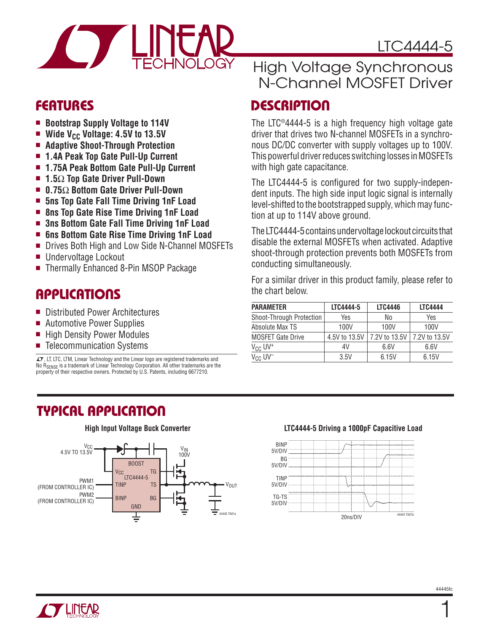

### **FEATURES**

- Bootstrap Supply Voltage to 114V
- **Nide V<sub>CC</sub> Voltage: 4.5V to 13.5V**
- <sup>n</sup> **Adaptive Shoot-Through Protection**
- 1.4A Peak Top Gate Pull-Up Current
- <sup>n</sup> **1.75A Peak Bottom Gate Pull-Up Current**
- <sup>n</sup> **1.5**Ω **Top Gate Driver Pull-Down**
- <sup>n</sup> **0.75**Ω **Bottom Gate Driver Pull-Down**
- <sup>n</sup> **5ns Top Gate Fall Time Driving 1nF Load**
- $\blacksquare$  **8ns Top Gate Rise Time Driving 1nF Load**
- 3ns Bottom Gate Fall Time Driving 1nF Load
- 6ns Bottom Gate Rise Time Driving 1nF Load
- Drives Both High and Low Side N-Channel MOSFETs
- Undervoltage Lockout
- Thermally Enhanced 8-Pin MSOP Package

### **APPLICATIONS**

- Distributed Power Architectures
- Automotive Power Supplies
- High Density Power Modules
- Telecommunication Systems

 $LT$ , LT, LTC, LTM, Linear Technology and the Linear logo are registered trademarks and No R<sub>SENSE</sub> is a trademark of Linear Technology Corporation. All other trademarks are the property of their respective owners. Protected by U.S. Patents, including 6677210.

### High Voltage Synchronous N-Channel MOSFET Driver

### **DESCRIPTION**

The LTC®4444-5 is a high frequency high voltage gate driver that drives two N-channel MOSFETs in a synchronous DC/DC converter with supply voltages up to 100V. This powerful driver reduces switching losses in MOSFETs with high gate capacitance.

The LTC4444-5 is configured for two supply-independent inputs. The high side input logic signal is internally level-shifted to the bootstrapped supply, which may function at up to 114V above ground.

The LTC4444-5 contains undervoltage lockout circuits that disable the external MOSFETs when activated. Adaptive shoot-through protection prevents both MOSFETs from conducting simultaneously.

For a similar driver in this product family, please refer to the chart below.

| <b>PARAMETER</b>         | LTC4444-5     | <b>LTC4446</b> | <b>LTC4444</b> |
|--------------------------|---------------|----------------|----------------|
| Shoot-Through Protection | Yes           | No             | Yes            |
| Absolute Max TS          | 100V          | 100V           | 100V           |
| <b>MOSFET Gate Drive</b> | 4.5V to 13.5V | 7.2V to 13.5V  | 7.2V to 13.5V  |
| $V_{CC}$ UV <sup>+</sup> | 4V            | 6.6V           | 6.6V           |
| $V_{CC}$ UV <sup>-</sup> | 3.5V          | 6.15V          | 6.15V          |

## **TYPICAL APPLICATION**



#### **High Input Voltage Buck Converter Late Converter Let also LTC4444-5 Driving a 1000pF Capacitive Load**





1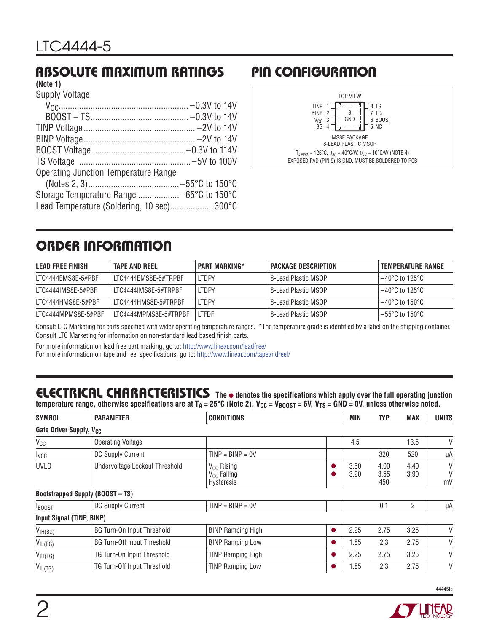# **ABSOLUTE MAXIMUM RATINGS PIN CONFIGURATION**

#### **(Note 1)**

Supply Voltage

| <b>Operating Junction Temperature Range</b> |  |
|---------------------------------------------|--|
|                                             |  |
|                                             |  |
| Lead Temperature (Soldering, 10 sec)300°C   |  |



# **ORDER INFORMATION**

| LEAD FREE FINISH    | <b>TAPE AND REEL</b>  | <b>PART MARKING*</b> | <b>PACKAGE DESCRIPTION</b> | I TEMPERATURE RANGE |
|---------------------|-----------------------|----------------------|----------------------------|---------------------|
| LTC4444EMS8E-5#PBF  | ITC4444FMS8F-5#TRPBF  | <b>LTDPY</b>         | 8-Lead Plastic MSOP        | 1–40°C to 125°C     |
| LTC4444IMS8E-5#PBF  | LTC4444IMS8E-5#TRPBF  | <b>ITDPY</b>         | l 8-Lead Plastic MSOP      | l –40°C to 125°C.   |
| LTC4444HMS8E-5#PBF  | ITC4444HMS8F-5#TRPBF  | <b>LTDPY</b>         | 8-Lead Plastic MSOP        | 1−40°C to 150°C     |
| LTC4444MPMS8E-5#PBF | LTC4444MPMS8E-5#TRPBF | <b>LTFDF</b>         | l 8-Lead Plastic MSOP.     | l –55°C to 150°C l  |

Consult LTC Marketing for parts specified with wider operating temperature ranges. \*The temperature grade is identified by a label on the shipping container. Consult LTC Marketing for information on non-standard lead based finish parts.

For more information on lead free part marking, go to: http://www.linear.com/leadfree/

For more information on tape and reel specifications, go to: http://www.linear.com/tapeandreel/

# ELECTRICAL CHARACTERISTICS The  $\bullet$  denotes the specifications which apply over the full operating junction

temperature range, otherwise specifications are at T<sub>A</sub> = 25°C (Note 2). V<sub>CC</sub> = V<sub>BOOST</sub> = 6V, V<sub>TS</sub> = GND = 0V, unless otherwise noted.

| <b>SYMBOL</b>                       | <b>PARAMETER</b>                        | <b>CONDITIONS</b>                                               |   | MIN          | <b>TYP</b>          | <b>MAX</b>   | <b>UNITS</b> |
|-------------------------------------|-----------------------------------------|-----------------------------------------------------------------|---|--------------|---------------------|--------------|--------------|
| Gate Driver Supply, V <sub>CC</sub> |                                         |                                                                 |   |              |                     |              |              |
| $V_{CC}$                            | <b>Operating Voltage</b>                |                                                                 |   | 4.5          |                     | 13.5         | V            |
| I <sub>VCC</sub>                    | DC Supply Current                       | $TIME = BIMP = 0V$                                              |   |              | 320                 | 520          | μA           |
| <b>UVLO</b>                         | Undervoltage Lockout Threshold          | V <sub>CC</sub> Rising<br>V <sub>CC</sub> Falling<br>Hysteresis |   | 3.60<br>3.20 | 4.00<br>3.55<br>450 | 4.40<br>3.90 | V<br>mV      |
|                                     | <b>Bootstrapped Supply (BOOST - TS)</b> |                                                                 |   |              |                     |              |              |
| <b>BOOST</b>                        | DC Supply Current                       | $TIME = BINP = 0V$                                              |   |              | 0.1                 | 2            | μA           |
| Input Signal (TINP, BINP)           |                                         |                                                                 |   |              |                     |              |              |
| V <sub>IH(BG)</sub>                 | <b>BG Turn-On Input Threshold</b>       | <b>BINP Ramping High</b>                                        | Ω | 2.25         | 2.75                | 3.25         | V            |
| $V_{IL(BG)}$                        | <b>BG Turn-Off Input Threshold</b>      | <b>BINP Ramping Low</b>                                         |   | .85          | 2.3                 | 2.75         | V            |
| $V_{IH(TG)}$                        | TG Turn-On Input Threshold              | <b>TINP Ramping High</b>                                        |   | 2.25         | 2.75                | 3.25         | V            |
| $V_{IL(TG)}$                        | TG Turn-Off Input Threshold             | <b>TINP Ramping Low</b>                                         |   | 1.85         | 2.3                 | 2.75         | V            |

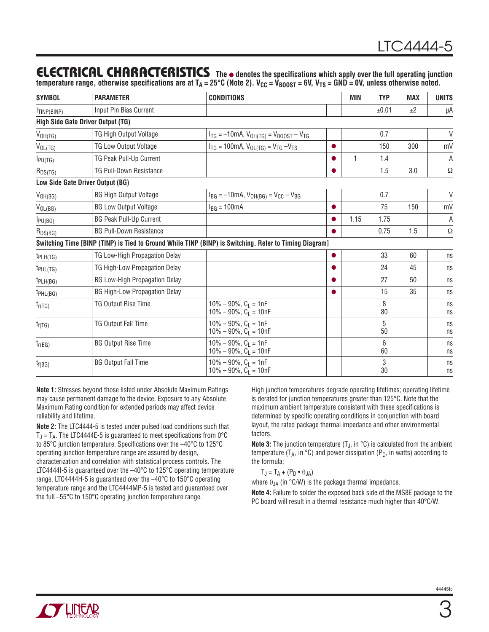### **ELECTRICAL CHARACTERISTICS** The  $\bullet$  denotes the specifications which apply over the full operating junction

temperature range, otherwise specifications are at T<sub>A</sub> = 25°C (Note 2). V<sub>CC</sub> = V<sub>BOOST</sub> = 6V, V<sub>TS</sub> = GND = 0V, unless otherwise noted.

| <b>SYMBOL</b>           | <b>PARAMETER</b>                     | <b>CONDITIONS</b>                                                                                      |           | <b>MIN</b> | <b>TYP</b> | <b>MAX</b> | <b>UNITS</b> |
|-------------------------|--------------------------------------|--------------------------------------------------------------------------------------------------------|-----------|------------|------------|------------|--------------|
| <sup>I</sup> TINP(BINP) | Input Pin Bias Current               |                                                                                                        |           |            | ±0.01      | ±2         | μA           |
|                         | High Side Gate Driver Output (TG)    |                                                                                                        |           |            |            |            |              |
| $V_{OH(TG)}$            | <b>TG High Output Voltage</b>        | $I_{TG} = -10 \text{mA}$ , $V_{OH(TG)} = V_{BOOST} - V_{TG}$                                           |           |            | 0.7        |            | $\vee$       |
| $V_{OL(TG)}$            | <b>TG Low Output Voltage</b>         | $I_{TG}$ = 100mA, $V_{OL(TG)}$ = $V_{TG}$ - $V_{TS}$                                                   |           |            | 150        | 300        | mV           |
| $I_{PU(TG)}$            | TG Peak Pull-Up Current              |                                                                                                        |           | 1          | 1.4        |            | A            |
| $R_{DS(TG)}$            | <b>TG Pull-Down Resistance</b>       |                                                                                                        | ●         |            | 1.5        | 3.0        | $\Omega$     |
|                         | Low Side Gate Driver Output (BG)     |                                                                                                        |           |            |            |            |              |
| $V_{OH(BG)}$            | <b>BG High Output Voltage</b>        | $I_{BG} = -10mA$ , $V_{OH(BG)} = V_{CC} - V_{BG}$                                                      |           |            | 0.7        |            | $\vee$       |
| $V_{OL(BG)}$            | <b>BG Low Output Voltage</b>         | $I_{BG} = 100mA$                                                                                       | $\bullet$ |            | 75         | 150        | mV           |
| $I_{PU(BG)}$            | <b>BG Peak Pull-Up Current</b>       |                                                                                                        |           | 1.15       | 1.75       |            | A            |
| $R_{DS(BG)}$            | <b>BG Pull-Down Resistance</b>       |                                                                                                        |           |            | 0.75       | 1.5        | $\Omega$     |
|                         |                                      | Switching Time [BINP (TINP) is Tied to Ground While TINP (BINP) is Switching. Refer to Timing Diagram] |           |            |            |            |              |
| $t_{PLH(TG)}$           | TG Low-High Propagation Delay        |                                                                                                        | 0         |            | 33         | 60         | ns           |
| $t_{PHL(TG)}$           | TG High-Low Propagation Delay        |                                                                                                        | ●         |            | 24         | 45         | ns           |
| $t_{PLH(BG)}$           | <b>BG Low-High Propagation Delay</b> |                                                                                                        |           |            | 27         | 50         | ns           |
| $t_{PHL(BG)}$           | <b>BG High-Low Propagation Delay</b> |                                                                                                        | ●         |            | 15         | 35         | ns           |
| $t_{r(TG)}$             | TG Output Rise Time                  | $10\% - 90\%$ , $C_L = 1nF$<br>$10\% - 90\%$ , $C_1 = 10nF$                                            |           |            | 8<br>80    |            | ns<br>ns     |
| $t_{f(TG)}$             | <b>TG Output Fall Time</b>           | $10\% - 90\%$ , $C_L = 1nF$<br>$10\% - 90\%$ , $C_1 = 10nF$                                            |           |            | 5<br>50    |            | ns<br>ns     |
| $t_{r(BG)}$             | <b>BG Output Rise Time</b>           | $10\% - 90\%$ , $C_1 = 1nF$<br>$10\% - 90\%$ , C <sub>1</sub> = 10nF                                   |           |            | 6<br>60    |            | ns<br>ns     |
| $t_{f(BG)}$             | <b>BG Output Fall Time</b>           | $10\% - 90\%$ , $C_1 = 1nF$<br>$10\% - 90\%$ , $C_L = 10nF$                                            |           |            | 3<br>30    |            | ns<br>ns     |

**Note 1:** Stresses beyond those listed under Absolute Maximum Ratings may cause permanent damage to the device. Exposure to any Absolute Maximum Rating condition for extended periods may affect device reliability and lifetime.

**Note 2:** The LTC4444-5 is tested under pulsed load conditions such that T<sub>J</sub>  $\approx$  T<sub>A</sub>. The LTC4444E-5 is guaranteed to meet specifications from 0°C to 85°C junction temperature. Specifications over the –40°C to 125°C operating junction temperature range are assured by design, characterization and correlation with statistical process controls. The LTC4444I-5 is guaranteed over the –40°C to 125°C operating temperature range, LTC4444H-5 is guaranteed over the –40°C to 150°C operating temperature range and the LTC4444MP-5 is tested and guaranteed over the full –55°C to 150°C operating junction temperature range.

High junction temperatures degrade operating lifetimes; operating lifetime is derated for junction temperatures greater than 125°C. Note that the maximum ambient temperature consistent with these specifications is determined by specific operating conditions in conjunction with board layout, the rated package thermal impedance and other environmental factors.

**Note 3:** The junction temperature (T<sub>J</sub>, in °C) is calculated from the ambient temperature ( $T_A$ , in °C) and power dissipation ( $P_D$ , in watts) according to the formula:

 $T_J = T_A + (P_D \bullet \theta_{JA})$ 

where  $\theta_{JA}$  (in °C/W) is the package thermal impedance.

**Note 4:** Failure to solder the exposed back side of the MS8E package to the PC board will result in a thermal resistance much higher than 40°C/W.

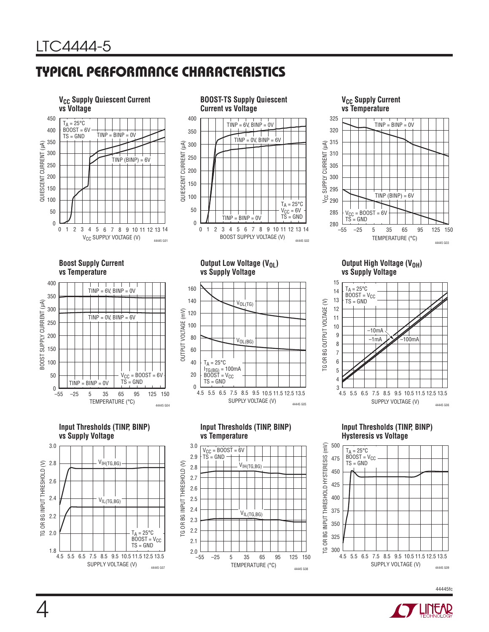# **TYPICAL PERFORMANCE CHARACTERISTICS**





#### **V<sub>CC</sub> Supply Current vs Temperature**



**Boost Supply Current vs Temperature**









**Output Low Voltage (V<sub>OL</sub>) vs Supply Voltage**



**Input Thresholds (TINP, BINP)** 

VIH(TG,BG)

VIL(TG,BG)

–55 –25 5 35 65 95 125 150 TEMPERATURE (°C)

44445 G08

**vs Temperature**

 $V_{CC} = BOOST = 6V$  $\overrightarrow{TS}$  = GND

TG OR BG INPUT THRESHOLD (V) 2.6

 $\mathfrak{g}$ ප

BG INPUT THRESHOLD (V)

2.8

2.7

2.4

2.5

2.2

2.1  $2.0$  – 55

2.3

3.0

2.9

**Output High Voltage (VOH) vs Supply Voltage**



**Input Thresholds (TINP, BINP) Hysteresis vs Voltage**



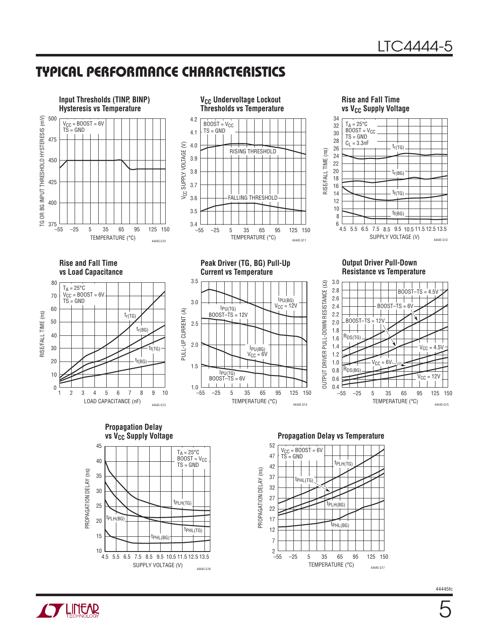## **TYPICAL PERFORMANCE CHARACTERISTICS**







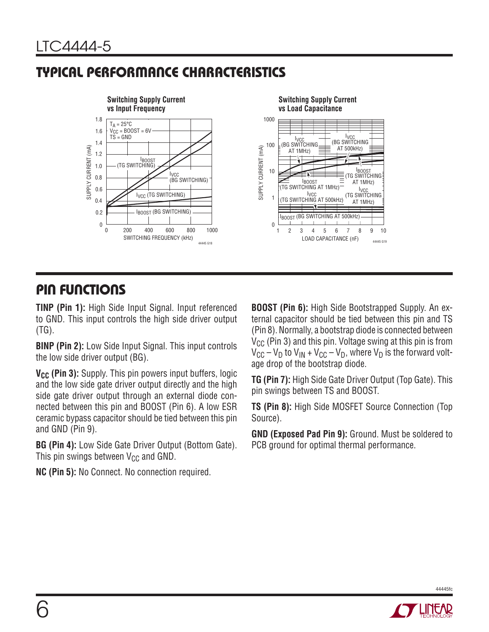# **TYPICAL PERFORMANCE CHARACTERISTICS**



## **PIN FUNCTIONS**

**TINP (Pin 1):** High Side Input Signal. Input referenced to GND. This input controls the high side driver output (TG).

**BINP (Pin 2):** Low Side Input Signal. This input controls the low side driver output (BG).

V<sub>CC</sub> (Pin 3): Supply. This pin powers input buffers, logic and the low side gate driver output directly and the high side gate driver output through an external diode connected between this pin and BOOST (Pin 6). A low ESR ceramic bypass capacitor should be tied between this pin and GND (Pin 9).

**BG (Pin 4):** Low Side Gate Driver Output (Bottom Gate). This pin swings between  $V_{CC}$  and GND.

**NC (Pin 5):** No Connect. No connection required.

**BOOST (Pin 6):** High Side Bootstrapped Supply. An external capacitor should be tied between this pin and TS (Pin 8). Normally, a bootstrap diode is connected between  $V_{CC}$  (Pin 3) and this pin. Voltage swing at this pin is from  $V_{\text{CC}} - V_{\text{D}}$  to  $V_{\text{IN}} + V_{\text{CC}} - V_{\text{D}}$ , where  $V_{\text{D}}$  is the forward voltage drop of the bootstrap diode.

**TG (Pin 7):** High Side Gate Driver Output (Top Gate). This pin swings between TS and BOOST.

**TS (Pin 8):** High Side MOSFET Source Connection (Top Source).

**GND (Exposed Pad Pin 9):** Ground. Must be soldered to PCB ground for optimal thermal performance.

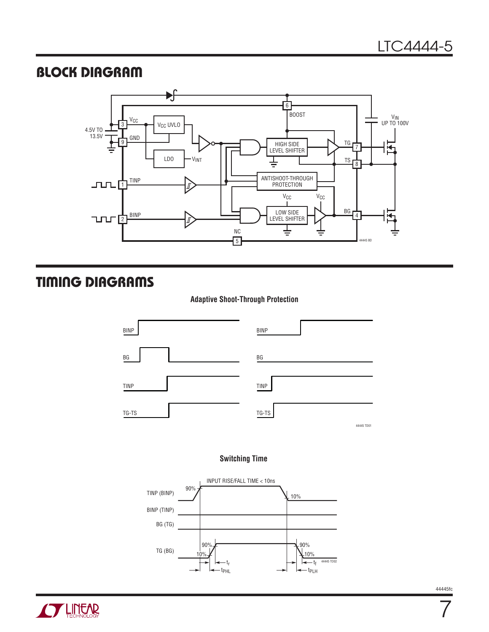## **BLOCK DIAGRAM**



# **TIMING DIAGRAMS**

#### **Adaptive Shoot-Through Protection**



#### **Switching Time**





7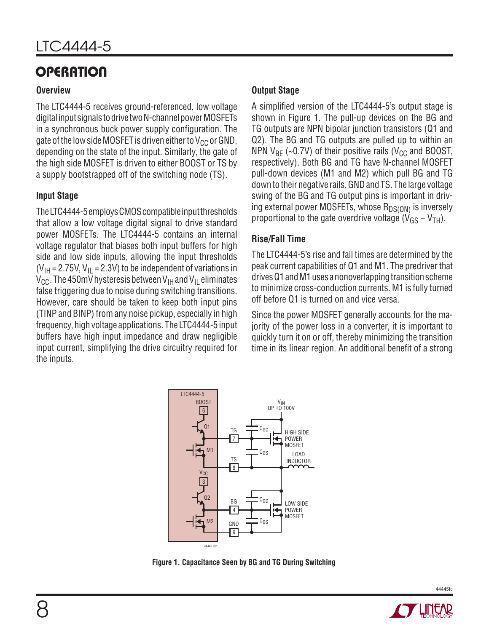# **OPERATION**

#### **Overview**

The LTC4444-5 receives ground-referenced, low voltage digital input signals to drive two N-channel power MOSFETs in a synchronous buck power supply configuration. The gate of the low side MOSFET is driven either to  $V_{CC}$  or GND, depending on the state of the input. Similarly, the gate of the high side MOSFET is driven to either BOOST or TS by a supply bootstrapped off of the switching node (TS).

#### **Input Stage**

The LTC4444-5 employs CMOS compatible input thresholds that allow a low voltage digital signal to drive standard power MOSFETs. The LTC4444-5 contains an internal voltage regulator that biases both input buffers for high side and low side inputs, allowing the input thresholds  $(V_{\text{IH}} = 2.75V, V_{\text{II}} = 2.3V)$  to be independent of variations in  $V_{\text{CC}}$ . The 450mV hysteresis between  $V_{\text{IH}}$  and  $V_{\text{II}}$  eliminates false triggering due to noise during switching transitions. However, care should be taken to keep both input pins (TINP and BINP) from any noise pickup, especially in high frequency, high voltage applications. The LTC4444-5 input buffers have high input impedance and draw negligible input current, simplifying the drive circuitry required for the inputs.

#### **Output Stage**

A simplified version of the LTC4444-5's output stage is shown in Figure 1. The pull-up devices on the BG and TG outputs are NPN bipolar junction transistors (Q1 and Q2). The BG and TG outputs are pulled up to within an NPN  $V_{BF}$  (~0.7V) of their positive rails ( $V_{CG}$  and BOOST, respectively). Both BG and TG have N-channel MOSFET pull-down devices (M1 and M2) which pull BG and TG down to their negative rails, GND and TS. The large voltage swing of the BG and TG output pins is important in driving external power MOSFETs, whose  $R_{DS(ON)}$  is inversely proportional to the gate overdrive voltage ( $V_{GS}$  – V<sub>TH</sub>).

### **Rise/Fall Time**

The LTC4444-5's rise and fall times are determined by the peak current capabilities of Q1 and M1. The predriver that drives Q1 and M1 uses a nonoverlapping transition scheme to minimize cross-conduction currents. M1 is fully turned off before Q1 is turned on and vice versa.

Since the power MOSFET generally accounts for the majority of the power loss in a converter, it is important to quickly turn it on or off, thereby minimizing the transition time in its linear region. An additional benefit of a strong



**Figure 1. Capacitance Seen by BG and TG During Switching**

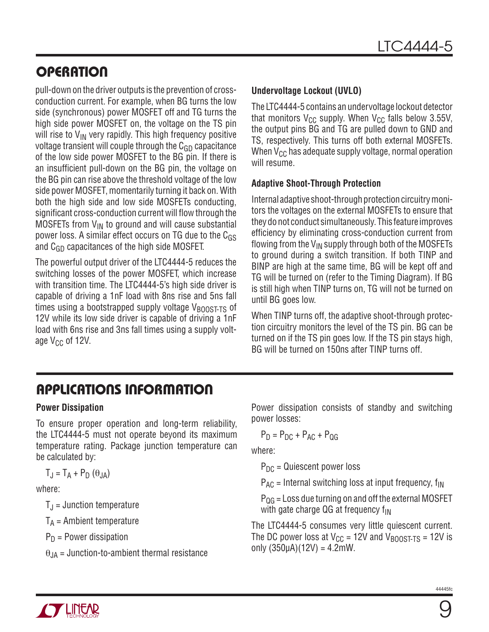# **OPERATION**

pull-down on the driver outputs is the prevention of crossconduction current. For example, when BG turns the low side (synchronous) power MOSFET off and TG turns the high side power MOSFET on, the voltage on the TS pin will rise to  $V_{IN}$  very rapidly. This high frequency positive voltage transient will couple through the  $C_{GD}$  capacitance of the low side power MOSFET to the BG pin. If there is an insufficient pull-down on the BG pin, the voltage on the BG pin can rise above the threshold voltage of the low side power MOSFET, momentarily turning it back on. With both the high side and low side MOSFETs conducting, significant cross-conduction current will flow through the MOSFETs from  $V_{IN}$  to ground and will cause substantial power loss. A similar effect occurs on TG due to the  $C_{GS}$ and C<sub>GD</sub> capacitances of the high side MOSFET.

The powerful output driver of the LTC4444-5 reduces the switching losses of the power MOSFET, which increase with transition time. The LTC4444-5's high side driver is capable of driving a 1nF load with 8ns rise and 5ns fall times using a bootstrapped supply voltage  $V_{\text{BONST-TS}}$  of 12V while its low side driver is capable of driving a 1nF load with 6ns rise and 3ns fall times using a supply voltage  $V_{CC}$  of 12V.

#### **Undervoltage Lockout (UVLO)**

The LTC4444-5 contains an undervoltage lockout detector that monitors  $V_{CC}$  supply. When  $V_{CC}$  falls below 3.55V, the output pins BG and TG are pulled down to GND and TS, respectively. This turns off both external MOSFETs. When  $V_{CC}$  has adequate supply voltage, normal operation will resume.

#### **Adaptive Shoot-Through Protection**

Internal adaptive shoot-through protection circuitry monitors the voltages on the external MOSFETs to ensure that they do not conduct simultaneously. This feature improves efficiency by eliminating cross-conduction current from flowing from the  $V_{IN}$  supply through both of the MOSFETs to ground during a switch transition. If both TINP and BINP are high at the same time, BG will be kept off and TG will be turned on (refer to the Timing Diagram). If BG is still high when TINP turns on, TG will not be turned on until BG goes low.

When TINP turns off, the adaptive shoot-through protection circuitry monitors the level of the TS pin. BG can be turned on if the TS pin goes low. If the TS pin stays high, BG will be turned on 150ns after TINP turns off.

# **APPLICATIONS INFORMATION**

### **Power Dissipation**

To ensure proper operation and long-term reliability, the LTC4444-5 must not operate beyond its maximum temperature rating. Package junction temperature can be calculated by:

$$
T_J = T_A + P_D (\theta_{JA})
$$

where:

 $T_{\rm J}$  = Junction temperature

 $T_A$  = Ambient temperature

 $P_D$  = Power dissipation

 $\theta_{JA}$  = Junction-to-ambient thermal resistance

Power dissipation consists of standby and switching power losses:

 $P_D = P_{DC} + P_{AC} + P_{OG}$ 

where:

 $P_{DC}$  = Quiescent power loss

 $P_{AC}$  = Internal switching loss at input frequency,  $f_{IN}$ 

 $P_{OG}$  = Loss due turning on and off the external MOSFET with gate charge  $QG$  at frequency  $f_{IN}$ 

The LTC4444-5 consumes very little quiescent current. The DC power loss at  $V_{CC}$  = 12V and  $V_{BOOST-TS}$  = 12V is only  $(350\mu A)(12V) = 4.2mW$ .

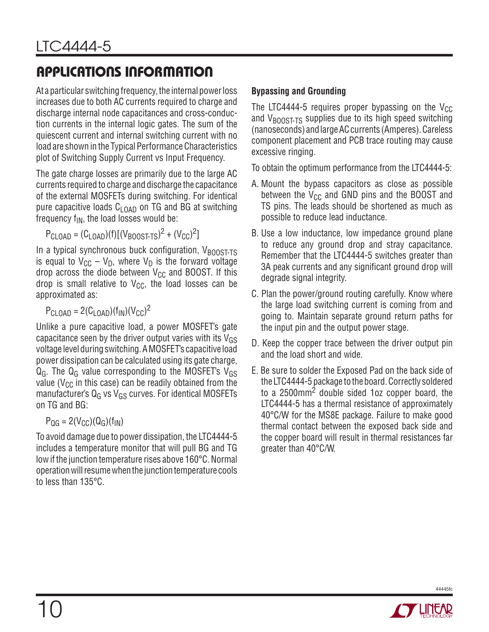# **APPLICATIONS INFORMATION**

At a particular switching frequency, the internal power loss increases due to both AC currents required to charge and discharge internal node capacitances and cross-conduction currents in the internal logic gates. The sum of the quiescent current and internal switching current with no load are shown in the Typical Performance Characteristics plot of Switching Supply Current vs Input Frequency.

The gate charge losses are primarily due to the large AC currents required to charge and discharge the capacitance of the external MOSFETs during switching. For identical pure capacitive loads  $C_{1OAD}$  on TG and BG at switching frequency  $f_{IN}$ , the load losses would be:

$$
P_{CLOAD} = (C_{LOAD})(f)[(V_{BOOST-TS})^2 + (V_{CC})^2]
$$

In a typical synchronous buck configuration,  $V_{\text{BOOST-TS}}$ is equal to  $V_{CC} - V_D$ , where  $V_D$  is the forward voltage drop across the diode between  $V_{CC}$  and BOOST. If this drop is small relative to  $V_{CC}$ , the load losses can be approximated as:

 $P_{\text{CLOAD}} = 2(C_{\text{LOAD}})(f_{\text{IN}})(V_{\text{CC}})^2$ 

Unlike a pure capacitive load, a power MOSFET's gate capacitance seen by the driver output varies with its  $V_{GS}$ voltage level during switching. A MOSFET's capacitive load power dissipation can be calculated using its gate charge,  $Q_G$ . The  $Q_G$  value corresponding to the MOSFET's  $V_{GS}$ value ( $V_{\text{CC}}$  in this case) can be readily obtained from the manufacturer's  $Q_G$  vs  $V_{GS}$  curves. For identical MOSFETs on TG and BG:

$$
P_{\rm QG}=2(V_{\rm CC})(Q_{\rm G})(f_{\rm IN})
$$

To avoid damage due to power dissipation, the LTC4444-5 includes a temperature monitor that will pull BG and TG low if the junction temperature rises above 160°C. Normal operation will resume when the junction temperature cools to less than 135°C.

### **Bypassing and Grounding**

The LTC4444-5 requires proper bypassing on the  $V_{CC}$ and  $V_{\text{BOOST-TS}}$  supplies due to its high speed switching (nanoseconds) and large AC currents (Amperes). Careless component placement and PCB trace routing may cause excessive ringing.

To obtain the optimum performance from the LTC4444-5:

- A. Mount the bypass capacitors as close as possible between the  $V_{CC}$  and GND pins and the BOOST and TS pins. The leads should be shortened as much as possible to reduce lead inductance.
- B. Use a low inductance, low impedance ground plane to reduce any ground drop and stray capacitance. Remember that the LTC4444-5 switches greater than 3A peak currents and any significant ground drop will degrade signal integrity.
- C. Plan the power/ground routing carefully. Know where the large load switching current is coming from and going to. Maintain separate ground return paths for the input pin and the output power stage.
- D. Keep the copper trace between the driver output pin and the load short and wide.
- E. Be sure to solder the Exposed Pad on the back side of the LTC4444-5 package to the board. Correctly soldered to a 2500mm<sup>2</sup> double sided 1oz copper board, the LTC4444-5 has a thermal resistance of approximately 40°C/W for the MS8E package. Failure to make good thermal contact between the exposed back side and the copper board will result in thermal resistances far greater than 40°C/W.

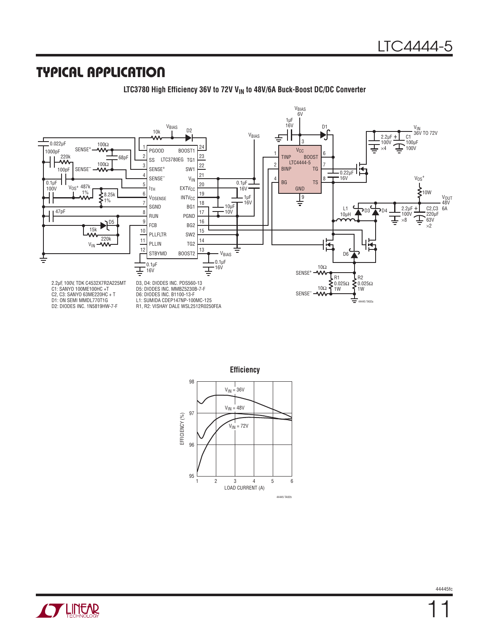### **TYPICAL APPLICATION**



LTC3780 High Efficiency 36V to 72V V<sub>IN</sub> to 48V/6A Buck-Boost DC/DC Converter





98



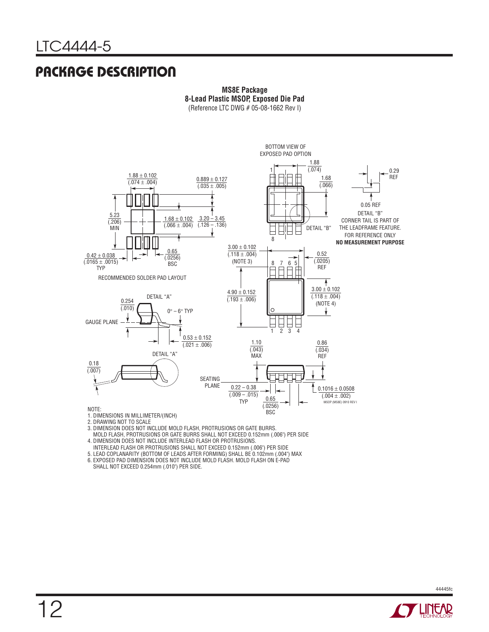### **PACKAGE DESCRIPTION**



**MS8E Package 8-Lead Plastic MSOP, Exposed Die Pad** (Reference LTC DWG # 05-08-1662 Rev I)

2. DRAWING NOT TO SCALE

3. DIMENSION DOES NOT INCLUDE MOLD FLASH, PROTRUSIONS OR GATE BURRS.

 MOLD FLASH, PROTRUSIONS OR GATE BURRS SHALL NOT EXCEED 0.152mm (.006") PER SIDE 4. DIMENSION DOES NOT INCLUDE INTERLEAD FLASH OR PROTRUSIONS.

INTERLEAD FLASH OR PROTRUSIONS SHALL NOT EXCEED 0.152mm (.006") PER SIDE

5. LEAD COPLANARITY (BOTTOM OF LEADS AFTER FORMING) SHALL BE 0.102mm (.004") MAX

6. EXPOSED PAD DIMENSION DOES NOT INCLUDE MOLD FLASH. MOLD FLASH ON E-PAD

SHALL NOT EXCEED 0.254mm (.010") PER SIDE.

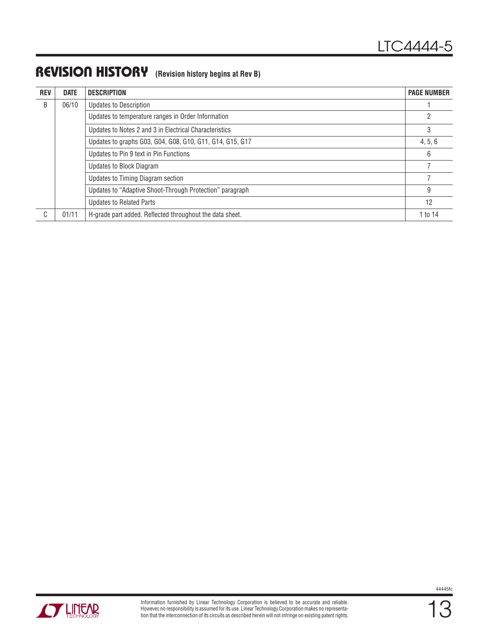### **REVISION HISTORY (Revision history begins at Rev B)**

| <b>REV</b> | <b>DATE</b> | <b>DESCRIPTION</b>                                       | <b>PAGE NUMBER</b> |
|------------|-------------|----------------------------------------------------------|--------------------|
| B          | 06/10       | <b>Updates to Description</b>                            |                    |
|            |             | Updates to temperature ranges in Order Information       |                    |
|            |             | Updates to Notes 2 and 3 in Electrical Characteristics   |                    |
|            |             | Updates to graphs G03, G04, G08, G10, G11, G14, G15, G17 |                    |
|            |             | Updates to Pin 9 text in Pin Functions                   |                    |
|            |             | Updates to Block Diagram                                 |                    |
|            |             | Updates to Timing Diagram section                        |                    |
|            |             | Updates to "Adaptive Shoot-Through Protection" paragraph | 9                  |
|            |             | <b>Updates to Related Parts</b>                          | 12                 |
| C          | 01/11       | H-grade part added. Reflected throughout the data sheet. | 1 to 14            |

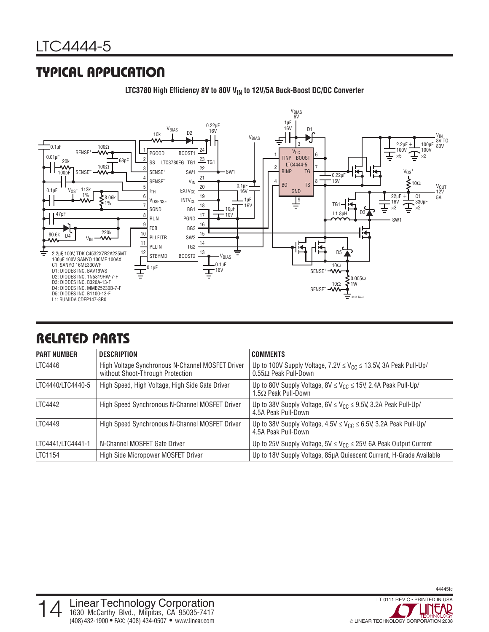# **TYPICAL APPLICATION**



LTC3780 High Efficiency 8V to 80V V<sub>IN</sub> to 12V/5A Buck-Boost DC/DC Converter

# **RELATED PARTS**

| <b>PART NUMBER</b> | <b>DESCRIPTION</b>                                                                   | <b>COMMENTS</b>                                                                                            |
|--------------------|--------------------------------------------------------------------------------------|------------------------------------------------------------------------------------------------------------|
| LTC4446            | High Voltage Synchronous N-Channel MOSFET Driver<br>without Shoot-Through Protection | Up to 100V Supply Voltage, $7.2V \leq V_{CC} \leq 13.5V$ , 3A Peak Pull-Up/<br>$0.55\Omega$ Peak Pull-Down |
| LTC4440/LTC4440-5  | High Speed, High Voltage, High Side Gate Driver                                      | Up to 80V Supply Voltage, $8V \leq V_{CC} \leq 15V$ , 2.4A Peak Pull-Up/<br>$1.5\Omega$ Peak Pull-Down     |
| LTC4442            | High Speed Synchronous N-Channel MOSFET Driver                                       | Up to 38V Supply Voltage, $6V \leq V_{CC} \leq 9.5V$ , 3.2A Peak Pull-Up/<br>4.5A Peak Pull-Down           |
| LTC4449            | High Speed Synchronous N-Channel MOSFET Driver                                       | Up to 38V Supply Voltage, $4.5V \leq V_{CC} \leq 6.5V$ , 3.2A Peak Pull-Up/<br>4.5A Peak Pull-Down         |
| LTC4441/LTC4441-1  | N-Channel MOSFET Gate Driver                                                         | Up to 25V Supply Voltage, $5V \leq V_{CC} \leq 25V$ , 6A Peak Output Current                               |
| LTC1154            | High Side Micropower MOSFET Driver                                                   | Up to 18V Supply Voltage, 85µA Quiescent Current, H-Grade Available                                        |